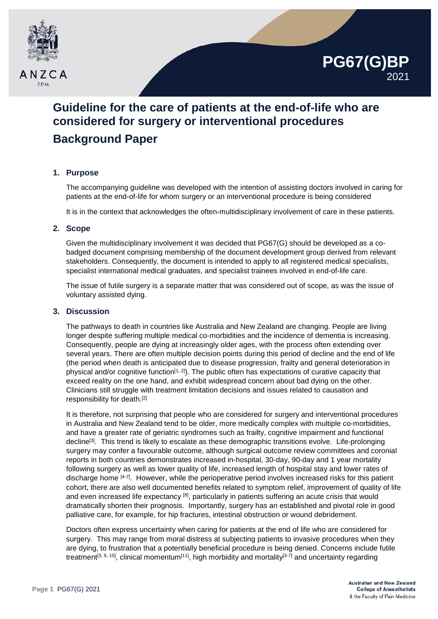



# **Background Paper**

# **1. Purpose**

The accompanying guideline was developed with the intention of assisting doctors involved in caring for patients at the end-of-life for whom surgery or an interventional procedure is being considered

It is in the context that acknowledges the often-multidisciplinary involvement of care in these patients.

#### **2. Scope**

Given the multidisciplinary involvement it was decided that PG67(G) should be developed as a cobadged document comprising membership of the document development group derived from relevant stakeholders. Consequently, the document is intended to apply to all registered medical specialists, specialist international medical graduates, and specialist trainees involved in end-of-life care.

The issue of futile surgery is a separate matter that was considered out of scope, as was the issue of voluntary assisted dying.

#### **3. Discussion**

The pathways to death in countries like Australia and New Zealand are changing. People are living longer despite suffering multiple medical co-morbidities and the incidence of dementia is increasing. Consequently, people are dying at increasingly older ages, with the process often extending over several years. There are often multiple decision points during this period of decline and the end of life (the period when death is anticipated due to disease progression, frailty and general deterioration in physical and/or cognitive function<sup>[1, 2]</sup>). The public often has expectations of curative capacity that exceed reality on the one hand, and exhibit widespread concern about bad dying on the other. Clinicians still struggle with treatment limitation decisions and issues related to causation and responsibility for death.[2]

It is therefore, not surprising that people who are considered for surgery and interventional procedures in Australia and New Zealand tend to be older, more medically complex with multiple co-morbidities, and have a greater rate of geriatric syndromes such as frailty, cognitive impairment and functional decline[3]. This trend is likely to escalate as these demographic transitions evolve. Life-prolonging surgery may confer a favourable outcome, although surgical outcome review committees and coronial reports in both countries demonstrates increased in-hospital, 30-day, 90-day and 1 year mortality following surgery as well as lower quality of life, increased length of hospital stay and lower rates of discharge home [4-7]. However, while the perioperative period involves increased risks for this patient cohort, there are also well documented benefits related to symptom relief, improvement of quality of life and even increased life expectancy [8], particularly in patients suffering an acute crisis that would dramatically shorten their prognosis. Importantly, surgery has an established and pivotal role in good palliative care, for example, for hip fractures, intestinal obstruction or wound debridement.

Doctors often express uncertainty when caring for patients at the end of life who are considered for surgery. This may range from moral distress at subjecting patients to invasive procedures when they are dying, to frustration that a potentially beneficial procedure is being denied. Concerns include futile treatment<sup>[3, 9, 10]</sup>, clinical momentum<sup>[11]</sup>, high morbidity and mortality<sup>[3-7]</sup> and uncertainty regarding

**PG67(G)BP**

2021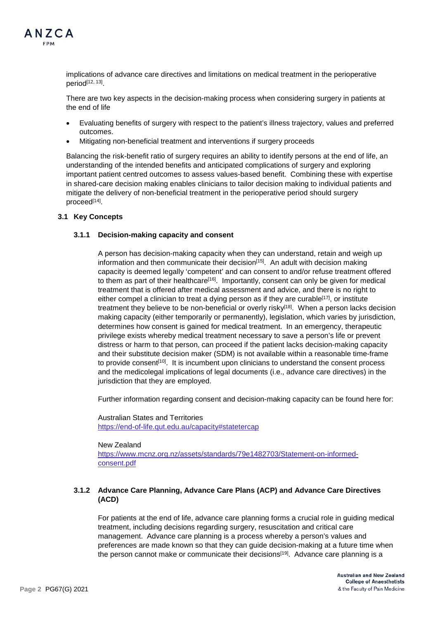

implications of advance care directives and limitations on medical treatment in the perioperative period[12, 13].

There are two key aspects in the decision-making process when considering surgery in patients at the end of life

- Evaluating benefits of surgery with respect to the patient's illness trajectory, values and preferred outcomes.
- Mitigating non-beneficial treatment and interventions if surgery proceeds

Balancing the risk-benefit ratio of surgery requires an ability to identify persons at the end of life, an understanding of the intended benefits and anticipated complications of surgery and exploring important patient centred outcomes to assess values-based benefit. Combining these with expertise in shared-care decision making enables clinicians to tailor decision making to individual patients and mitigate the delivery of non-beneficial treatment in the perioperative period should surgery proceed[14].

#### **3.1 Key Concepts**

#### **3.1.1 Decision-making capacity and consent**

A person has decision-making capacity when they can understand, retain and weigh up information and then communicate their decision<sup>[15]</sup>. An adult with decision making capacity is deemed legally 'competent' and can consent to and/or refuse treatment offered to them as part of their healthcare[16]. Importantly, consent can only be given for medical treatment that is offered after medical assessment and advice, and there is no right to either compel a clinician to treat a dying person as if they are curable<sup>[17]</sup>, or institute treatment they believe to be non-beneficial or overly risky<sup>[18]</sup>. When a person lacks decision making capacity (either temporarily or permanently), legislation, which varies by jurisdiction, determines how consent is gained for medical treatment. In an emergency, therapeutic privilege exists whereby medical treatment necessary to save a person's life or prevent distress or harm to that person, can proceed if the patient lacks decision-making capacity and their substitute decision maker (SDM) is not available within a reasonable time-frame to provide consent<sup>[10]</sup>. It is incumbent upon clinicians to understand the consent process and the medicolegal implications of legal documents (i.e., advance care directives) in the jurisdiction that they are employed.

Further information regarding consent and decision-making capacity can be found here for:

Australian States and Territories <https://end-of-life.qut.edu.au/capacity#statetercap>

New Zealand [https://www.mcnz.org.nz/assets/standards/79e1482703/Statement-on-informed](https://www.mcnz.org.nz/assets/standards/79e1482703/Statement-on-informed-consent.pdf)[consent.pdf](https://www.mcnz.org.nz/assets/standards/79e1482703/Statement-on-informed-consent.pdf)

## **3.1.2 Advance Care Planning, Advance Care Plans (ACP) and Advance Care Directives (ACD)**

For patients at the end of life, advance care planning forms a crucial role in guiding medical treatment, including decisions regarding surgery, resuscitation and critical care management. Advance care planning is a process whereby a person's values and preferences are made known so that they can guide decision-making at a future time when the person cannot make or communicate their decisions<sup>[19]</sup>. Advance care planning is a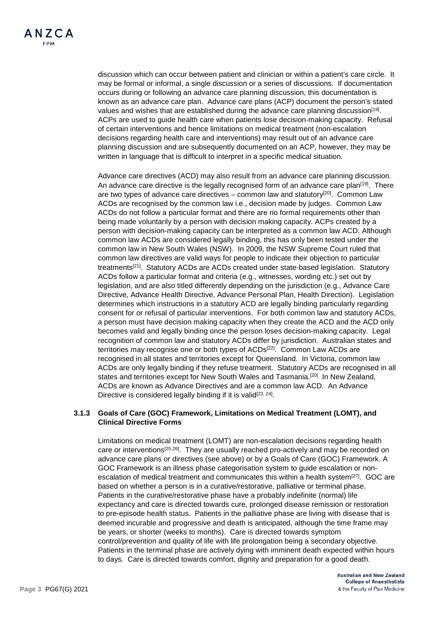discussion which can occur between patient and clinician or within a patient's care circle. It may be formal or informal, a single discussion or a series of discussions. If documentation occurs during or following an advance care planning discussion, this documentation is known as an advance care plan. Advance care plans (ACP) document the person's stated values and wishes that are established during the advance care planning discussion<sup>[19]</sup>. ACPs are used to guide health care when patients lose decision-making capacity. Refusal of certain interventions and hence limitations on medical treatment (non-escalation decisions regarding health care and interventions) may result out of an advance care planning discussion and are subsequently documented on an ACP, however*,* they may be written in language that is difficult to interpret in a specific medical situation.

Advance care directives (ACD) may also result from an advance care planning discussion. An advance care directive is the legally recognised form of an advance care plan<sup>[19]</sup>. There are two types of advance care directives – common law and statutory $[20]$ . Common Law ACDs are recognised by the common law i.e., decision made by judges. Common Law ACDs do not follow a particular format and there are no formal requirements other than being made voluntarily by a person with decision making capacity. ACPs created by a person with decision-making capacity can be interpreted as a common law ACD. Although common law ACDs are considered legally binding, this has only been tested under the common law in New South Wales (NSW). In 2009, the NSW Supreme Court ruled that common law directives are valid ways for people to indicate their objection to particular treatments[21]. Statutory ACDs are ACDs created under state-based legislation. Statutory ACDs follow a particular format and criteria (e.g., witnesses, wording etc.) set out by legislation, and are also titled differently depending on the jurisdiction (e.g., Advance Care Directive, Advance Health Directive, Advance Personal Plan, Health Direction). Legislation determines which instructions in a statutory ACD are legally binding particularly regarding consent for or refusal of particular interventions. For both common law and statutory ACDs, a person must have decision making capacity when they create the ACD and the ACD only becomes valid and legally binding once the person loses decision-making capacity. Legal recognition of common law and statutory ACDs differ by jurisdiction. Australian states and territories may recognise one or both types of ACDs<sup>[22]</sup>. Common Law ACDs are recognised in all states and territories except for Queensland. In Victoria, common law ACDs are only legally binding if they refuse treatment. Statutory ACDs are recognised in all states and territories except for New South Wales and Tasmania.[20] In New Zealand, ACDs are known as Advance Directives and are a common law ACD. An Advance Directive is considered legally binding if it is valid<sup>[23, 24]</sup>.

## **3.1.3 Goals of Care (GOC) Framework, Limitations on Medical Treatment (LOMT), and Clinical Directive Forms**

Limitations on medical treatment (LOMT) are non-escalation decisions regarding health care or interventions<sup>[25,26]</sup>. They are usually reached pro-actively and may be recorded on advance care plans or directives (see above) or by a Goals of Care (GOC) Framework. A GOC Framework is an illness phase categorisation system to guide escalation or nonescalation of medical treatment and communicates this within a health system<sup>[27]</sup>. GOC are based on whether a person is in a curative/restorative, palliative or terminal phase. Patients in the curative/restorative phase have a probably indefinite (normal) life expectancy and care is directed towards cure, prolonged disease remission or restoration to pre-episode health status. Patients in the palliative phase are living with disease that is deemed incurable and progressive and death is anticipated, although the time frame may be years, or shorter (weeks to months). Care is directed towards symptom control/prevention and quality of life with life prolongation being a secondary objective. Patients in the terminal phase are actively dying with imminent death expected within hours to days. Care is directed towards comfort, dignity and preparation for a good death.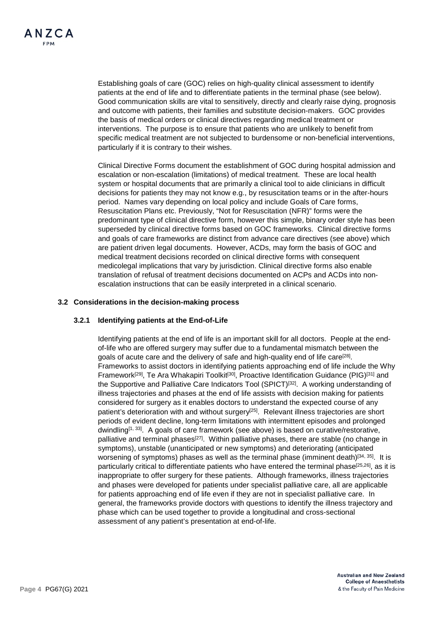Establishing goals of care (GOC) relies on high-quality clinical assessment to identify patients at the end of life and to differentiate patients in the terminal phase (see below). Good communication skills are vital to sensitively, directly and clearly raise dying, prognosis and outcome with patients, their families and substitute decision-makers. GOC provides the basis of medical orders or clinical directives regarding medical treatment or interventions. The purpose is to ensure that patients who are unlikely to benefit from specific medical treatment are not subjected to burdensome or non-beneficial interventions, particularly if it is contrary to their wishes.

Clinical Directive Forms document the establishment of GOC during hospital admission and escalation or non-escalation (limitations) of medical treatment. These are local health system or hospital documents that are primarily a clinical tool to aide clinicians in difficult decisions for patients they may not know e.g., by resuscitation teams or in the after-hours period. Names vary depending on local policy and include Goals of Care forms, Resuscitation Plans etc. Previously, "Not for Resuscitation (NFR)" forms were the predominant type of clinical directive form, however this simple, binary order style has been superseded by clinical directive forms based on GOC frameworks. Clinical directive forms and goals of care frameworks are distinct from advance care directives (see above) which are patient driven legal documents. However, ACDs, may form the basis of GOC and medical treatment decisions recorded on clinical directive forms with consequent medicolegal implications that vary by jurisdiction. Clinical directive forms also enable translation of refusal of treatment decisions documented on ACPs and ACDs into nonescalation instructions that can be easily interpreted in a clinical scenario.

## **3.2 Considerations in the decision-making process**

## **3.2.1 Identifying patients at the End-of-Life**

Identifying patients at the end of life is an important skill for all doctors. People at the endof-life who are offered surgery may suffer due to a fundamental mismatch between the goals of acute care and the delivery of safe and high-quality end of life care<sup>[28]</sup>. Frameworks to assist doctors in identifying patients approaching end of life include the Why Framework<sup>[29]</sup>, Te Ara Whakapiri Toolkit<sup>[30]</sup>, Proactive Identification Guidance (PIG)<sup>[31]</sup> and the Supportive and Palliative Care Indicators Tool (SPICT)[32] . A working understanding of illness trajectories and phases at the end of life assists with decision making for patients considered for surgery as it enables doctors to understand the expected course of any patient's deterioration with and without surgery<sup>[25]</sup>. Relevant illness trajectories are short periods of evident decline, long-term limitations with intermittent episodes and prolonged dwindling<sup>[1, 33]</sup>. A goals of care framework (see above) is based on curative/restorative, palliative and terminal phases<sup>[27]</sup>. Within palliative phases, there are stable (no change in symptoms), unstable (unanticipated or new symptoms) and deteriorating (anticipated worsening of symptoms) phases as well as the terminal phase (imminent death)<sup>[34, 35]</sup>. It is particularly critical to differentiate patients who have entered the terminal phase<sup>[25,26]</sup>, as it is inappropriate to offer surgery for these patients. Although frameworks, illness trajectories and phases were developed for patients under specialist palliative care, all are applicable for patients approaching end of life even if they are not in specialist palliative care. In general, the frameworks provide doctors with questions to identify the illness trajectory and phase which can be used together to provide a longitudinal and cross-sectional assessment of any patient's presentation at end-of-life.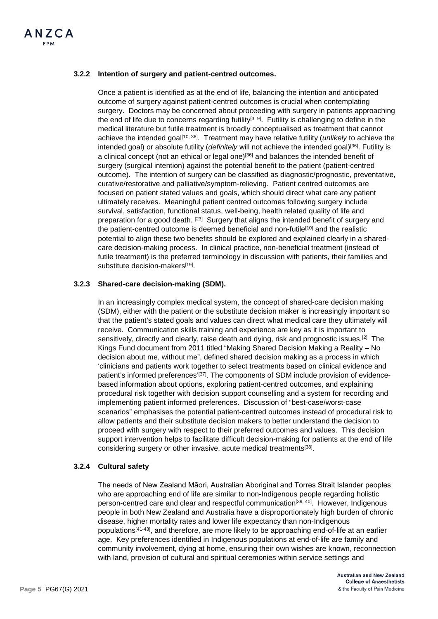# **3.2.2 Intention of surgery and patient-centred outcomes.**

Once a patient is identified as at the end of life, balancing the intention and anticipated outcome of surgery against patient-centred outcomes is crucial when contemplating surgery. Doctors may be concerned about proceeding with surgery in patients approaching the end of life due to concerns regarding futility<sup>[3, 9]</sup>. Futility is challenging to define in the medical literature but futile treatment is broadly conceptualised as treatment that cannot achieve the intended goal[10, 36] . Treatment may have relative futility (*unlikely* to achieve the intended goal) or absolute futility (*definitely* will not achieve the intended goal)[36] . Futility is a clinical concept (not an ethical or legal one)<sup>[36]</sup> and balances the intended benefit of surgery (surgical intention) against the potential benefit to the patient (patient-centred outcome). The intention of surgery can be classified as diagnostic/prognostic, preventative, curative/restorative and palliative/symptom-relieving. Patient centred outcomes are focused on patient stated values and goals, which should direct what care any patient ultimately receives. Meaningful patient centred outcomes following surgery include survival, satisfaction, functional status, well-being, health related quality of life and preparation for a good death. [23] Surgery that aligns the intended benefit of surgery and the patient-centred outcome is deemed beneficial and non-futile<sup>[10]</sup> and the realistic potential to align these two benefits should be explored and explained clearly in a sharedcare decision-making process. In clinical practice, non-beneficial treatment (instead of futile treatment) is the preferred terminology in discussion with patients, their families and substitute decision-makers<sup>[19]</sup>.

## **3.2.3 Shared-care decision-making (SDM).**

In an increasingly complex medical system, the concept of shared-care decision making (SDM), either with the patient or the substitute decision maker is increasingly important so that the patient's stated goals and values can direct what medical care they ultimately will receive. Communication skills training and experience are key as it is important to sensitively, directly and clearly, raise death and dying, risk and prognostic issues.[2] The Kings Fund document from 2011 titled "Making Shared Decision Making a Reality – No decision about me, without me", defined shared decision making as a process in which 'clinicians and patients work together to select treatments based on clinical evidence and patient's informed preferences'<sup>[37]</sup>. The components of SDM include provision of evidencebased information about options, exploring patient-centred outcomes, and explaining procedural risk together with decision support counselling and a system for recording and implementing patient informed preferences. Discussion of "best-case/worst-case scenarios" emphasises the potential patient-centred outcomes instead of procedural risk to allow patients and their substitute decision makers to better understand the decision to proceed with surgery with respect to their preferred outcomes and values. This decision support intervention helps to facilitate difficult decision-making for patients at the end of life considering surgery or other invasive, acute medical treatments<sup>[38]</sup>.

## **3.2.4 Cultural safety**

The needs of New Zealand Māori, Australian Aboriginal and Torres Strait Islander peoples who are approaching end of life are similar to non-Indigenous people regarding holistic person-centred care and clear and respectful communication<sup>[39, 40]</sup>. However, Indigenous people in both New Zealand and Australia have a disproportionately high burden of chronic disease, higher mortality rates and lower life expectancy than non-Indigenous populations<sup>[41-43]</sup>, and therefore, are more likely to be approaching end-of-life at an earlier age. Key preferences identified in Indigenous populations at end-of-life are family and community involvement, dying at home, ensuring their own wishes are known, reconnection with land, provision of cultural and spiritual ceremonies within service settings and

> **Australian and New Zealand College of Anaesthetists** & the Faculty of Pain Medicine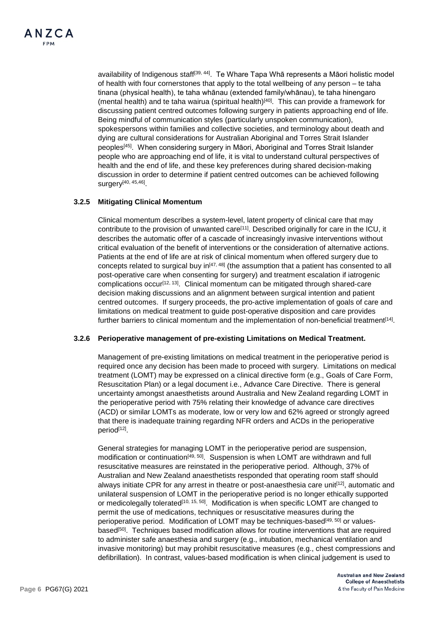

availability of Indigenous staff<sup>[39, 44]</sup>. Te Whare Tapa Whā represents a Māori holistic model of health with four cornerstones that apply to the total wellbeing of any person – te taha tinana (physical health), te taha whānau (extended family/whānau), te taha hinengaro (mental health) and te taha wairua (spiritual health)<sup>[40]</sup>. This can provide a framework for discussing patient centred outcomes following surgery in patients approaching end of life. Being mindful of communication styles (particularly unspoken communication), spokespersons within families and collective societies, and terminology about death and dying are cultural considerations for Australian Aboriginal and Torres Strait Islander peoples<sup>[45]</sup>. When considering surgery in Māori, Aboriginal and Torres Strait Islander people who are approaching end of life, it is vital to understand cultural perspectives of health and the end of life, and these key preferences during shared decision-making discussion in order to determine if patient centred outcomes can be achieved following surgery<sup>[40, 45,46]</sup>.

## **3.2.5 Mitigating Clinical Momentum**

Clinical momentum describes a system-level, latent property of clinical care that may contribute to the provision of unwanted care<sup>[11]</sup>. Described originally for care in the ICU, it describes the automatic offer of a cascade of increasingly invasive interventions without critical evaluation of the benefit of interventions or the consideration of alternative actions. Patients at the end of life are at risk of clinical momentum when offered surgery due to concepts related to surgical buy  $in^{[47, 48]}$  (the assumption that a patient has consented to all post-operative care when consenting for surgery) and treatment escalation if iatrogenic complications occur<sup>[12, 13]</sup>. Clinical momentum can be mitigated through shared-care decision making discussions and an alignment between surgical intention and patient centred outcomes. If surgery proceeds, the pro-active implementation of goals of care and limitations on medical treatment to guide post-operative disposition and care provides further barriers to clinical momentum and the implementation of non-beneficial treatment<sup>[14]</sup>.

#### **3.2.6 Perioperative management of pre-existing Limitations on Medical Treatment.**

Management of pre-existing limitations on medical treatment in the perioperative period is required once any decision has been made to proceed with surgery. Limitations on medical treatment (LOMT) may be expressed on a clinical directive form (e.g., Goals of Care Form, Resuscitation Plan) or a legal document i.e., Advance Care Directive. There is general uncertainty amongst anaesthetists around Australia and New Zealand regarding LOMT in the perioperative period with 75% relating their knowledge of advance care directives (ACD) or similar LOMTs as moderate, low or very low and 62% agreed or strongly agreed that there is inadequate training regarding NFR orders and ACDs in the perioperative period[12].

General strategies for managing LOMT in the perioperative period are suspension, modification or continuation<sup>[49, 50]</sup>. Suspension is when LOMT are withdrawn and full resuscitative measures are reinstated in the perioperative period. Although, 37% of Australian and New Zealand anaesthetists responded that operating room staff should always initiate CPR for any arrest in theatre or post-anaesthesia care unit<sup>[12]</sup>, automatic and unilateral suspension of LOMT in the perioperative period is no longer ethically supported or medicolegally tolerated<sup>[10, 15, 50]</sup>. Modification is when specific LOMT are changed to permit the use of medications, techniques or resuscitative measures during the perioperative period. Modification of LOMT may be techniques-based<sup>[49, 50]</sup> or valuesbased<sup>[50]</sup>. Techniques based modification allows for routine interventions that are required to administer safe anaesthesia and surgery (e.g., intubation, mechanical ventilation and invasive monitoring) but may prohibit resuscitative measures (e.g., chest compressions and defibrillation). In contrast, values-based modification is when clinical judgement is used to

> **Australian and New Zealand College of Anaesthetists** & the Faculty of Pain Medicine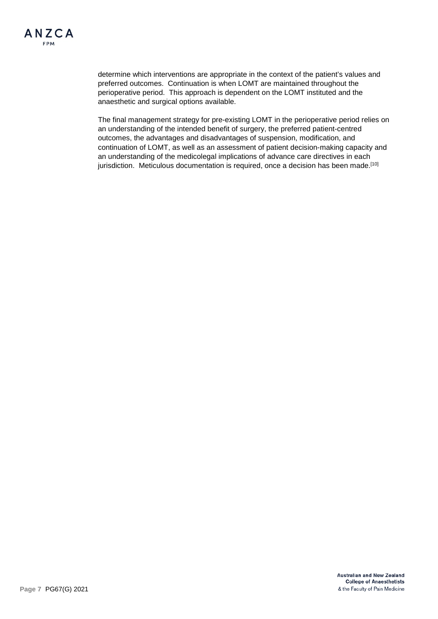determine which interventions are appropriate in the context of the patient's values and preferred outcomes. Continuation is when LOMT are maintained throughout the perioperative period. This approach is dependent on the LOMT instituted and the anaesthetic and surgical options available.

The final management strategy for pre-existing LOMT in the perioperative period relies on an understanding of the intended benefit of surgery, the preferred patient-centred outcomes, the advantages and disadvantages of suspension, modification, and continuation of LOMT, as well as an assessment of patient decision-making capacity and an understanding of the medicolegal implications of advance care directives in each jurisdiction. Meticulous documentation is required, once a decision has been made.<sup>[10]</sup>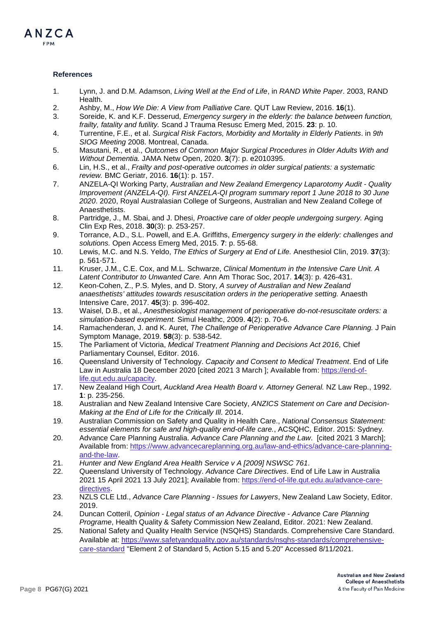

#### **References**

- 1. Lynn, J. and D.M. Adamson, *Living Well at the End of Life*, in *RAND White Paper*. 2003, RAND Health.
- 2. Ashby, M., *How We Die: A View from Palliative Care.* QUT Law Review, 2016. **16**(1).
- 3. Soreide, K. and K.F. Desserud, *Emergency surgery in the elderly: the balance between function, frailty, fatality and futility.* Scand J Trauma Resusc Emerg Med, 2015. **23**: p. 10.
- 4. Turrentine, F.E., et al. *Surgical Risk Factors, Morbidity and Mortality in Elderly Patients*. in *9th SIOG Meeting* 2008. Montreal, Canada.
- 5. Masutani, R., et al., *Outcomes of Common Major Surgical Procedures in Older Adults With and Without Dementia.* JAMA Netw Open, 2020. **3**(7): p. e2010395.
- 6. Lin, H.S., et al., *Frailty and post-operative outcomes in older surgical patients: a systematic review.* BMC Geriatr, 2016. **16**(1): p. 157.
- 7. ANZELA-QI Working Party, *Australian and New Zealand Emergency Laparotomy Audit - Quality Improvement (ANZELA-QI). First ANZELA-QI program summary report 1 June 2018 to 30 June 2020*. 2020, Royal Australasian College of Surgeons, Australian and New Zealand College of Anaesthetists.
- 8. Partridge, J., M. Sbai, and J. Dhesi, *Proactive care of older people undergoing surgery.* Aging Clin Exp Res, 2018. **30**(3): p. 253-257.
- 9. Torrance, A.D., S.L. Powell, and E.A. Griffiths, *Emergency surgery in the elderly: challenges and solutions.* Open Access Emerg Med, 2015. **7**: p. 55-68.
- 10. Lewis, M.C. and N.S. Yeldo, *The Ethics of Surgery at End of Life.* Anesthesiol Clin, 2019. **37**(3): p. 561-571.
- 11. Kruser, J.M., C.E. Cox, and M.L. Schwarze, *Clinical Momentum in the Intensive Care Unit. A Latent Contributor to Unwanted Care.* Ann Am Thorac Soc, 2017. **14**(3): p. 426-431.
- 12. Keon-Cohen, Z., P.S. Myles, and D. Story, *A survey of Australian and New Zealand anaesthetists' attitudes towards resuscitation orders in the perioperative setting.* Anaesth Intensive Care, 2017. **45**(3): p. 396-402.
- 13. Waisel, D.B., et al., *Anesthesiologist management of perioperative do-not-resuscitate orders: a simulation-based experiment.* Simul Healthc, 2009. **4**(2): p. 70-6.
- 14. Ramachenderan, J. and K. Auret, *The Challenge of Perioperative Advance Care Planning.* J Pain Symptom Manage, 2019. **58**(3): p. 538-542.
- 15. The Parliament of Victoria, *Medical Treatment Planning and Decisions Act 2016*, Chief Parliamentary Counsel, Editor. 2016.
- 16. Queensland University of Technology. *Capacity and Consent to Medical Treatment*. End of Life Law in Australia 18 December 2020 [cited 2021 3 March ]; Available from: [https://end-of](https://end-of-life.qut.edu.au/capacity)[life.qut.edu.au/capacity.](https://end-of-life.qut.edu.au/capacity)
- 17. New Zealand High Court, *Auckland Area Health Board v. Attorney General.* NZ Law Rep., 1992. **1**: p. 235-256.
- 18. Australian and New Zealand Intensive Care Society, *ANZICS Statement on Care and Decision-Making at the End of Life for the Critically Ill*. 2014.
- 19. Australian Commission on Safety and Quality in Health Care., *National Consensus Statement: essential elements for safe and high-quality end-of-life care.*, ACSQHC, Editor. 2015: Sydney.
- 20. Advance Care Planning Australia. *Advance Care Planning and the Law*. [cited 2021 3 March]; Available from: [https://www.advancecareplanning.org.au/law-and-ethics/advance-care-planning](https://www.advancecareplanning.org.au/law-and-ethics/advance-care-planning-and-the-law)[and-the-law.](https://www.advancecareplanning.org.au/law-and-ethics/advance-care-planning-and-the-law)
- 21. *Hunter and New England Area Health Service v A [2009] NSWSC 761*.
- 22. Queensland University of Technology. *Advance Care Directives*. End of Life Law in Australia 2021 15 April 2021 13 July 2021]; Available from[: https://end-of-life.qut.edu.au/advance-care](https://end-of-life.qut.edu.au/advance-care-directives)[directives.](https://end-of-life.qut.edu.au/advance-care-directives)
- 23. NZLS CLE Ltd., *Advance Care Planning - Issues for Lawyers*, New Zealand Law Society, Editor. 2019.
- 24. Duncan Cotteril, *Opinion - Legal status of an Advance Directive - Advance Care Planning Programe*, Health Quality & Safety Commission New Zealand, Editor. 2021: New Zealand.
- 25. National Safety and Quality Health Service (NSQHS) Standards. Comprehensive Care Standard. Available at: [https://www.safetyandquality.gov.au/standards/nsqhs-standards/comprehensive](https://www.safetyandquality.gov.au/standards/nsqhs-standards/comprehensive-care-standard)[care-standard](https://www.safetyandquality.gov.au/standards/nsqhs-standards/comprehensive-care-standard) "Element 2 of Standard 5, Action 5.15 and 5.20" Accessed 8/11/2021.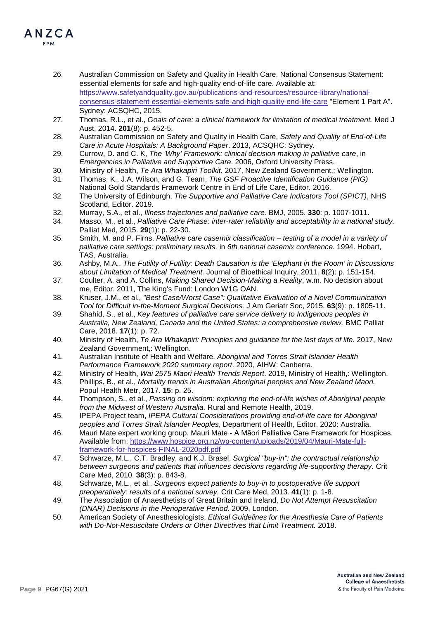- 26. Australian Commission on Safety and Quality in Health Care. National Consensus Statement: essential elements for safe and high-quality end-of-life care. Available at: [https://www.safetyandquality.gov.au/publications-and-resources/resource-library/national](https://www.safetyandquality.gov.au/publications-and-resources/resource-library/national-consensus-statement-essential-elements-safe-and-high-quality-end-life-care)[consensus-statement-essential-elements-safe-and-high-quality-end-life-care](https://www.safetyandquality.gov.au/publications-and-resources/resource-library/national-consensus-statement-essential-elements-safe-and-high-quality-end-life-care) "Element 1 Part A". Sydney: ACSQHC, 2015.
- 27. Thomas, R.L., et al., *Goals of care: a clinical framework for limitation of medical treatment.* Med J Aust, 2014. **201**(8): p. 452-5.
- 28. Australian Commission on Safety and Quality in Health Care, *Safety and Quality of End-of-Life Care in Acute Hospitals: A Background Paper*. 2013, ACSQHC: Sydney.
- 29. Currow, D. and C. K, *The 'Why' Framework: clinical decision making in palliative care*, in *Emergencies in Palliative and Supportive Care*. 2006, Oxford University Press.
- 30. Ministry of Health, *Te Ara Whakapiri Toolkit*. 2017, New Zealand Government,: Wellington.
- 31. Thomas, K., J.A. Wilson, and G. Team, *The GSF Proactive Identification Guidance (PIG)*  National Gold Standards Framework Centre in End of Life Care, Editor. 2016.
- 32. The University of Edinburgh, *The Supportive and Palliative Care Indicators Tool (SPICT)*, NHS Scotland, Editor. 2019.
- 32. Murray, S.A., et al., *Illness trajectories and palliative care.* BMJ, 2005. **330**: p. 1007-1011.
- 34. Masso, M., et al., *Palliative Care Phase: inter-rater reliability and acceptability in a national study.* Palliat Med, 2015. **29**(1): p. 22-30.
- 35. Smith, M. and P. Firns. *Palliative care casemix classification – testing of a model in a variety of palliative care settings: preliminary results.* in *6th national casemix conference*. 1994. Hobart, TAS, Australia.
- 36. Ashby, M.A., *The Futility of Futility: Death Causation is the 'Elephant in the Room' in Discussions about Limitation of Medical Treatment.* Journal of Bioethical Inquiry, 2011. **8**(2): p. 151-154.
- 37. Coulter, A. and A. Collins, *Making Shared Decision-Making a Reality*, w.m. No decision about me, Editor. 2011, The King's Fund: London W1G OAN.
- 38. Kruser, J.M., et al., *"Best Case/Worst Case": Qualitative Evaluation of a Novel Communication Tool for Difficult in-the-Moment Surgical Decisions.* J Am Geriatr Soc, 2015. **63**(9): p. 1805-11.
- 39. Shahid, S., et al., *Key features of palliative care service delivery to Indigenous peoples in Australia, New Zealand, Canada and the United States: a comprehensive review.* BMC Palliat Care, 2018. **17**(1): p. 72.
- 40. Ministry of Health, *Te Ara Whakapiri: Principles and guidance for the last days of life*. 2017, New Zealand Government,: Wellington.
- 41. Australian Institute of Health and Welfare, *Aboriginal and Torres Strait Islander Health Performance Framework 2020 summary report*. 2020, AIHW: Canberra.
- 42. Ministry of Health, *Wai 2575 Maori Health Trends Report*. 2019, Ministry of Health,: Wellington.
- 43. Phillips, B., et al., *Mortality trends in Australian Aboriginal peoples and New Zealand Maori.* Popul Health Metr, 2017. **15**: p. 25.
- 44. Thompson, S., et al., *Passing on wisdom: exploring the end-of-life wishes of Aboriginal people from the Midwest of Western Australia.* Rural and Remote Health, 2019.
- 45. IPEPA Project team, *IPEPA Cultural Considerations providing end-of-life care for Aboriginal peoples and Torres Strait Islander Peoples*, Department of Health, Editor. 2020: Australia.
- 46. Mauri Mate expert working group. Mauri Mate A Māori Palliative Care Framework for Hospices. Available from: [https://www.hospice.org.nz/wp-content/uploads/2019/04/Mauri-Mate-full](https://www.hospice.org.nz/wp-content/uploads/2019/04/Mauri-Mate-full-framework-for-hospices-FINAL-2020pdf.pdf)[framework-for-hospices-FINAL-2020pdf.pdf](https://www.hospice.org.nz/wp-content/uploads/2019/04/Mauri-Mate-full-framework-for-hospices-FINAL-2020pdf.pdf)
- 47. Schwarze, M.L., C.T. Bradley, and K.J. Brasel, *Surgical "buy-in": the contractual relationship between surgeons and patients that influences decisions regarding life-supporting therapy.* Crit Care Med, 2010. **38**(3): p. 843-8.
- 48. Schwarze, M.L., et al., *Surgeons expect patients to buy-in to postoperative life support preoperatively: results of a national survey.* Crit Care Med, 2013. **41**(1): p. 1-8.
- 49. The Association of Anaesthetists of Great Britain and Ireland, *Do Not Attempt Resuscitation (DNAR) Decisions in the Perioperative Period*. 2009, London.
- 50. American Society of Anesthesiologists, *Ethical Guidelines for the Anesthesia Care of Patients with Do-Not-Resuscitate Orders or Other Directives that Limit Treatment.* 2018.

ANZCA EDM